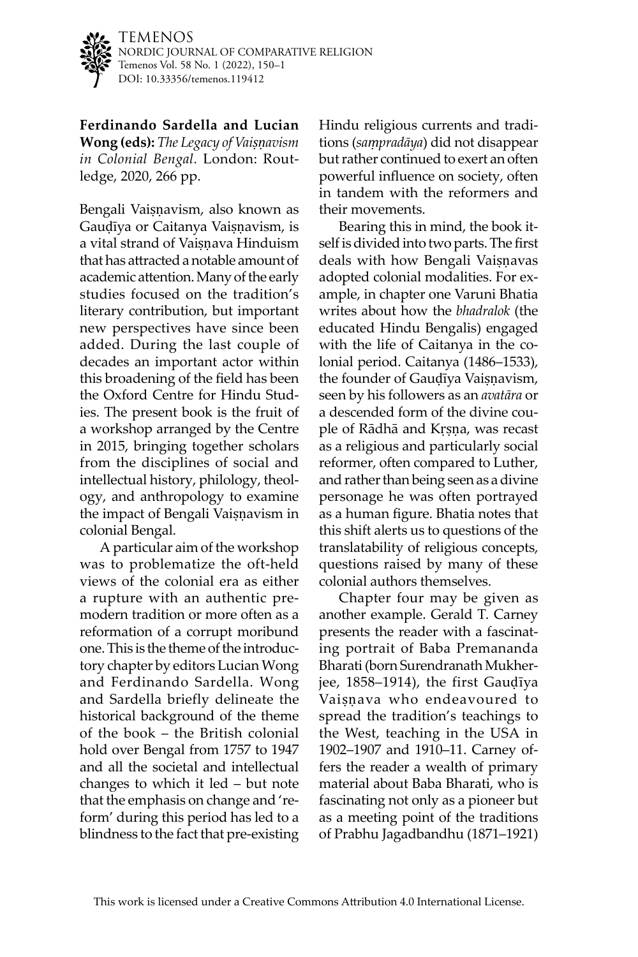

TEMENOS NORDIC JOURNAL OF COMPARATIVE RELIGION Temenos Vol. 58 No. 1 (2022), 150–1 DOI: [10.33356/temenos.119412](http://doi.org/10.33356/temenos.119412)

**Ferdinando Sardella and Lucian Wong (eds):** *The Legacy of Vaiṣṇavism in Colonial Bengal.* London: Routledge, 2020, 266 pp.

Bengali Vaiṣṇavism, also known as Gauḍīya or Caitanya Vaiṣṇavism, is a vital strand of Vaisnava Hinduism that has attracted a notable amount of academic attention. Many of the early studies focused on the tradition's literary contribution, but important new perspectives have since been added. During the last couple of decades an important actor within this broadening of the field has been the Oxford Centre for Hindu Studies. The present book is the fruit of a workshop arranged by the Centre in 2015, bringing together scholars from the disciplines of social and intellectual history, philology, theology, and anthropology to examine the impact of Bengali Vaiṣṇavism in colonial Bengal.

A particular aim of the workshop was to problematize the oft-held views of the colonial era as either a rupture with an authentic premodern tradition or more often as a reformation of a corrupt moribund one. This is the theme of the introductory chapter by editors Lucian Wong and Ferdinando Sardella. Wong and Sardella briefly delineate the historical background of the theme of the book – the British colonial hold over Bengal from 1757 to 1947 and all the societal and intellectual changes to which it led – but note that the emphasis on change and 'reform' during this period has led to a blindness to the fact that pre-existing Hindu religious currents and traditions (*saṃpradāya*) did not disappear but rather continued to exert an often powerful influence on society, often in tandem with the reformers and their movements.

Bearing this in mind, the book itself is divided into two parts. The first deals with how Bengali Vaisnavas adopted colonial modalities. For example, in chapter one Varuni Bhatia writes about how the *bhadralok* (the educated Hindu Bengalis) engaged with the life of Caitanya in the colonial period. Caitanya (1486–1533), the founder of Gauḍīya Vaiṣṇavism, seen by his followers as an *avatāra* or a descended form of the divine couple of Rādhā and Kṛṣṇa, was recast as a religious and particularly social reformer, often compared to Luther, and rather than being seen as a divine personage he was often portrayed as a human figure. Bhatia notes that this shift alerts us to questions of the translatability of religious concepts, questions raised by many of these colonial authors themselves.

Chapter four may be given as another example. Gerald T. Carney presents the reader with a fascinating portrait of Baba Premananda Bharati (born Surendranath Mukherjee, 1858–1914), the first Gauḍīya Vaiṣṇava who endeavoured to spread the tradition's teachings to the West, teaching in the USA in 1902–1907 and 1910–11. Carney offers the reader a wealth of primary material about Baba Bharati, who is fascinating not only as a pioneer but as a meeting point of the traditions of Prabhu Jagadbandhu (1871–1921)